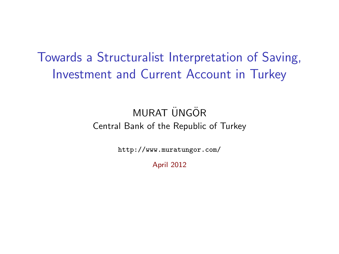## Towards a Structuralist Interpretation of Saving, Investment and Current Account in Turkey

## MURAT ÜNGÖR Central Bank of the Republic of Turkey

<http://www.muratungor.com/>

April 2012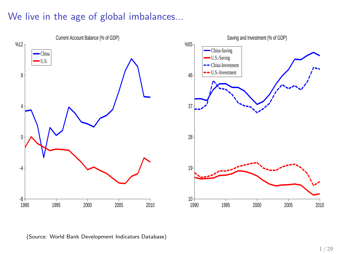## We live in the age of global imbalances...



(Source: World Bank Development Indicators Database)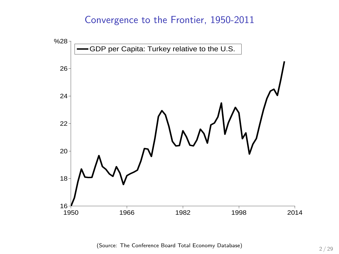#### Convergence to the Frontier, 1950-2011



(Source: The Conference Board Total Economy Database) 2 / 29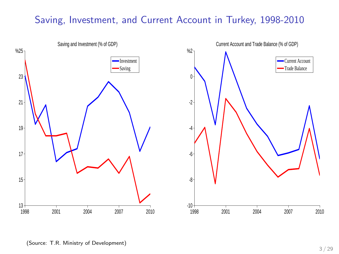### Saving, Investment, and Current Account in Turkey, 1998-2010





(Source: T.R. Ministry of Development)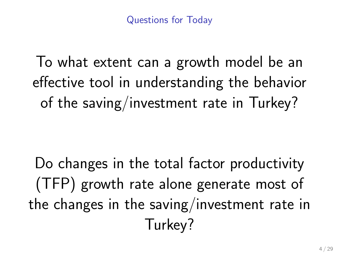To what extent can a growth model be an effective tool in understanding the behavior of the saving/investment rate in Turkey?

Do changes in the total factor productivity (TFP) growth rate alone generate most of the changes in the saving/investment rate in Turkey?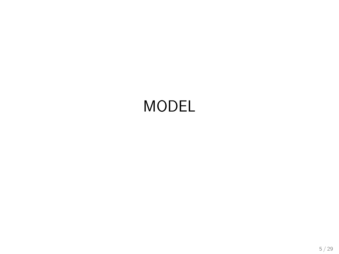# MODEL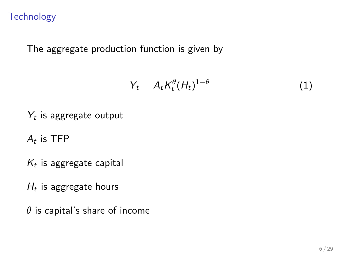### **Technology**

The aggregate production function is given by

$$
Y_t = A_t K_t^{\theta} (H_t)^{1-\theta} \tag{1}
$$

 $Y_t$  is aggregate output

 $A_t$  is TFP

 $\mathcal{K}_t$  is aggregate capital

 $H_t$  is aggregate hours

 $\theta$  is capital's share of income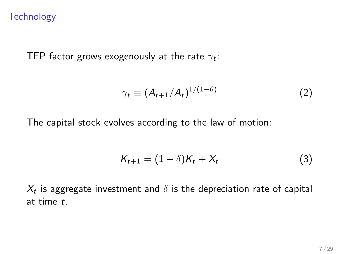#### **Technology**

TFP factor grows exogenously at the rate  $\gamma_t$ :

$$
\gamma_t \equiv (A_{t+1}/A_t)^{1/(1-\theta)} \tag{2}
$$

The capital stock evolves according to the law of motion:

$$
K_{t+1} = (1 - \delta)K_t + X_t \tag{3}
$$

 $X_t$  is aggregate investment and  $\delta$  is the depreciation rate of capital at time t.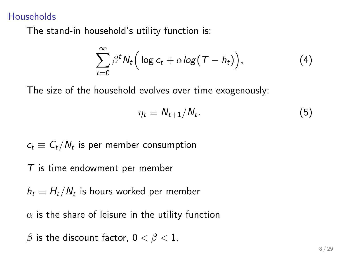#### **Households**

The stand-in household's utility function is:

$$
\sum_{t=0}^{\infty} \beta^t N_t \Big( \log c_t + \alpha \log (T - h_t) \Big), \tag{4}
$$

The size of the household evolves over time exogenously:

$$
\eta_t \equiv N_{t+1}/N_t. \tag{5}
$$

$$
c_t \equiv C_t/N_t
$$
 is per member consumption

#### T is time endowment per member

 $h_t \equiv H_t/W_t$  is hours worked per member

 $\alpha$  is the share of leisure in the utility function

$$
\beta \text{ is the discount factor, } 0 < \beta < 1.
$$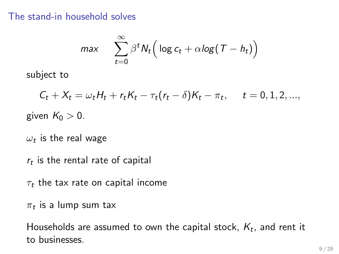#### The stand-in household solves

$$
max \quad \sum_{t=0}^{\infty} \beta^t N_t \Big( \log c_t + \alpha \log (T - h_t) \Big)
$$

subject to

$$
C_t + X_t = \omega_t H_t + r_t K_t - \tau_t (r_t - \delta) K_t - \pi_t, \quad t = 0, 1, 2, \dots,
$$
  
given  $K_0 > 0$ .

 $\omega_t$  is the real wage

 $r_t$  is the rental rate of capital

 $\tau_t$  the tax rate on capital income

 $\pi_t$  is a lump sum tax

Households are assumed to own the capital stock,  $K_t$ , and rent it to businesses.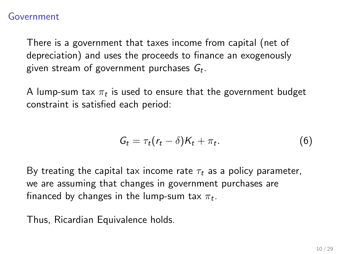#### Government

There is a government that taxes income from capital (net of depreciation) and uses the proceeds to finance an exogenously given stream of government purchases  $\mathit{G}_{t}.$ 

A lump-sum tax  $\pi_t$  is used to ensure that the government budget constraint is satisfied each period:

$$
G_t = \tau_t (r_t - \delta) K_t + \pi_t. \tag{6}
$$

By treating the capital tax income rate  $\tau_t$  as a policy parameter, we are assuming that changes in government purchases are financed by changes in the lump-sum tax  $\pi_t.$ 

Thus, Ricardian Equivalence holds.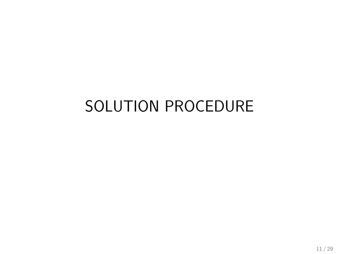# SOLUTION PROCEDURE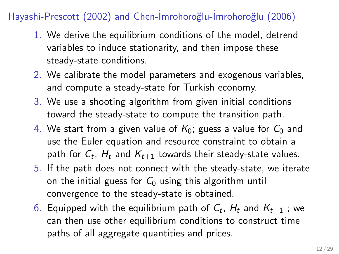## Hayashi-Prescott (2002) and Chen-İmrohoroğlu-İmrohoroğlu (2006)

- 1. We derive the equilibrium conditions of the model, detrend variables to induce stationarity, and then impose these steady-state conditions.
- 2. We calibrate the model parameters and exogenous variables, and compute a steady-state for Turkish economy.
- 3. We use a shooting algorithm from given initial conditions toward the steady-state to compute the transition path.
- 4. We start from a given value of  $K_0$ ; guess a value for  $C_0$  and use the Euler equation and resource constraint to obtain a path for  $C_t$ ,  $H_t$  and  $K_{t+1}$  towards their steady-state values.
- 5. If the path does not connect with the steady-state, we iterate on the initial guess for  $C_0$  using this algorithm until convergence to the steady-state is obtained.
- 6. Equipped with the equilibrium path of  $\mathcal{C}_t$ ,  $H_t$  and  $\mathcal{K}_{t+1}$  ; we can then use other equilibrium conditions to construct time paths of all aggregate quantities and prices.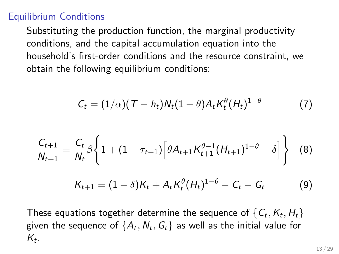## Equilibrium Conditions

Substituting the production function, the marginal productivity conditions, and the capital accumulation equation into the household's first-order conditions and the resource constraint, we obtain the following equilibrium conditions:

$$
C_t = (1/\alpha)(T - h_t)N_t(1-\theta)A_tK_t^{\theta}(H_t)^{1-\theta}
$$
 (7)

$$
\frac{C_{t+1}}{N_{t+1}} = \frac{C_t}{N_t} \beta \left\{ 1 + (1 - \tau_{t+1}) \left[ \theta A_{t+1} K_{t+1}^{\theta - 1} (H_{t+1})^{1 - \theta} - \delta \right] \right\}
$$
 (8)

$$
K_{t+1} = (1 - \delta)K_t + A_t K_t^{\theta} (H_t)^{1-\theta} - C_t - G_t \tag{9}
$$

These equations together determine the sequence of  $\{\mathsf C_t,\mathsf K_t,\mathsf H_t\}$ given the sequence of  $\{A_t, N_t, G_t\}$  as well as the initial value for  $K_t$ .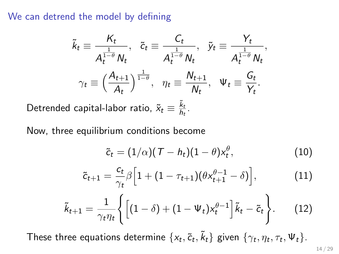We can detrend the model by defining

$$
\tilde{k}_t \equiv \frac{K_t}{A_t^{\frac{1}{1-\theta}} N_t}, \quad \tilde{c}_t \equiv \frac{C_t}{A_t^{\frac{1}{1-\theta}} N_t}, \quad \tilde{y}_t \equiv \frac{Y_t}{A_t^{\frac{1}{1-\theta}} N_t},
$$
\n
$$
\gamma_t \equiv \left(\frac{A_{t+1}}{A_t}\right)^{\frac{1}{1-\theta}}, \quad \eta_t \equiv \frac{N_{t+1}}{N_t}, \quad \Psi_t \equiv \frac{G_t}{Y_t}.
$$

Detrended capital-labor ratio,  $\tilde{x}_t \equiv \frac{\tilde{k}_t}{\hbar}$  $\frac{\kappa_t}{h_t}$ .

Now, three equilibrium conditions become

$$
\tilde{c}_t = (1/\alpha)(\mathcal{T} - h_t)(1-\theta)x_t^{\theta}, \qquad (10)
$$

$$
\tilde{c}_{t+1} = \frac{c_t}{\gamma_t} \beta \Big[ 1 + (1 - \tau_{t+1}) (\theta x_{t+1}^{\theta - 1} - \delta) \Big], \tag{11}
$$

$$
\tilde{k}_{t+1} = \frac{1}{\gamma_t \eta_t} \left\{ \left[ (1 - \delta) + (1 - \Psi_t) x_t^{\theta - 1} \right] \tilde{k}_t - \tilde{c}_t \right\}.
$$
 (12)

These three equations determine  $\{x_t, \tilde{c}_t, \tilde{k}_t\}$  given  $\{\gamma_t, \eta_t, \tau_t, \Psi_t\}$ .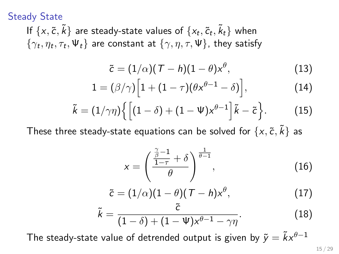Steady State

If  $\{x, \tilde{c}, \tilde{k}\}$  are steady-state values of  $\{x_t, \tilde{c}_t, \tilde{k}_t\}$  when  $\{\gamma_t, \eta_t, \tau_t, \Psi_t\}$  are constant at  $\{\gamma, \eta, \tau, \Psi\}$ , they satisfy

$$
\tilde{c} = (1/\alpha)(T - h)(1 - \theta)x^{\theta}, \qquad (13)
$$

$$
1 = (\beta/\gamma) \Big[ 1 + (1 - \tau)(\theta x^{\theta - 1} - \delta) \Big], \tag{14}
$$

$$
\tilde{k} = (1/\gamma \eta) \left\{ \left[ (1-\delta) + (1-\Psi) x^{\theta-1} \right] \tilde{k} - \tilde{c} \right\}.
$$
 (15)

These three steady-state equations can be solved for  $\{x, \tilde{c}, \tilde{k}\}$  as

$$
x = \left(\frac{\frac{\tilde{\beta}-1}{1-\tau} + \delta}{\theta}\right)^{\frac{1}{\theta-1}},\tag{16}
$$

$$
\tilde{c} = (1/\alpha)(1-\theta)(T-h)x^{\theta}, \qquad (17)
$$

$$
\tilde{k} = \frac{\tilde{c}}{(1-\delta) + (1-\Psi)x^{\theta-1} - \gamma\eta}.
$$
\n(18)

The steady-state value of detrended output is given by  $\tilde{v} = \tilde{k}x^{\theta-1}$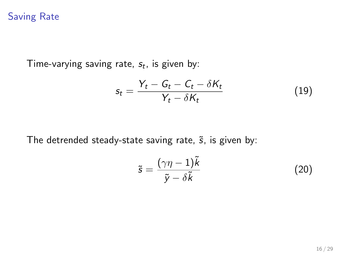## Saving Rate

Time-varying saving rate,  $s_t$ , is given by:

$$
s_t = \frac{Y_t - G_t - C_t - \delta K_t}{Y_t - \delta K_t}
$$
\n(19)

The detrended steady-state saving rate,  $\tilde{s}$ , is given by:

$$
\tilde{s} = \frac{(\gamma \eta - 1)\tilde{k}}{\tilde{y} - \delta \tilde{k}} \tag{20}
$$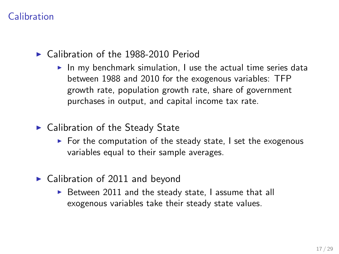## Calibration

- $\triangleright$  Calibration of the 1988-2010 Period
	- $\blacktriangleright$  In my benchmark simulation, I use the actual time series data between 1988 and 2010 for the exogenous variables: TFP growth rate, population growth rate, share of government purchases in output, and capital income tax rate.
- $\blacktriangleright$  Calibration of the Steady State
	- $\triangleright$  For the computation of the steady state, I set the exogenous variables equal to their sample averages.
- $\triangleright$  Calibration of 2011 and beyond
	- $\triangleright$  Between 2011 and the steady state, I assume that all exogenous variables take their steady state values.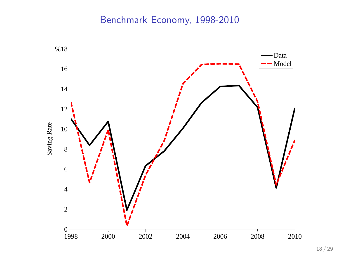## Benchmark Economy, 1998-2010

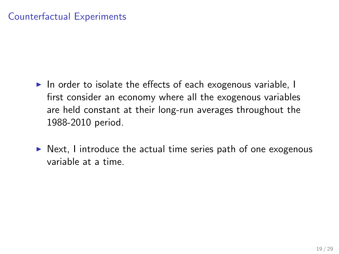## Counterfactual Experiments

- $\triangleright$  In order to isolate the effects of each exogenous variable, I first consider an economy where all the exogenous variables are held constant at their long-run averages throughout the 1988-2010 period.
- $\triangleright$  Next, I introduce the actual time series path of one exogenous variable at a time.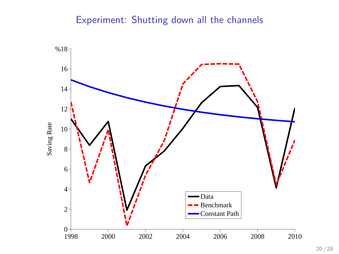## Experiment: Shutting down all the channels

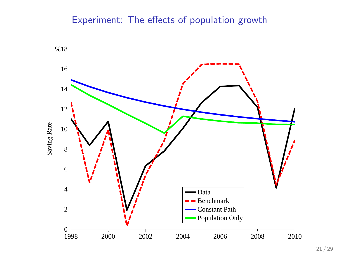## Experiment: The effects of population growth

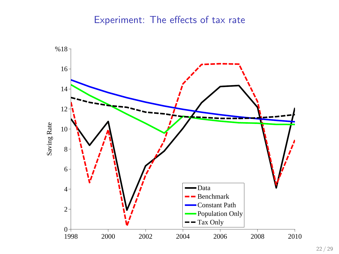## Experiment: The effects of tax rate

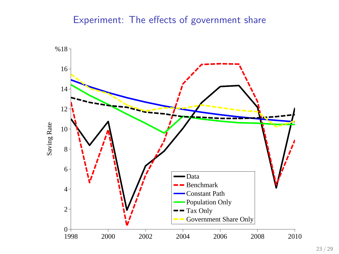## Experiment: The effects of government share

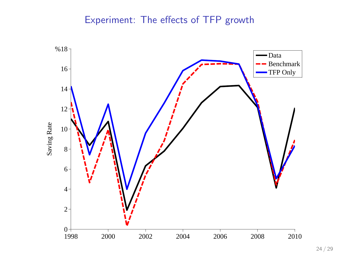## Experiment: The effects of TFP growth

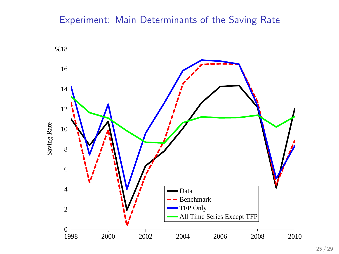## Experiment: Main Determinants of the Saving Rate

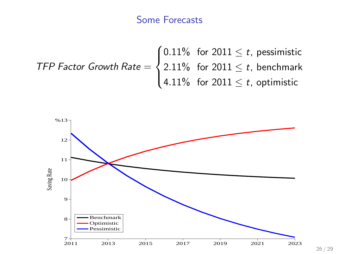## Some Forecasts

$$
\text{TFP Factor Growth Rate} = \begin{cases} 0.11\% & \text{for } 2011 \leq t, \text{ pessimistic} \\ 2.11\% & \text{for } 2011 \leq t, \text{ benchmark} \\ 4.11\% & \text{for } 2011 \leq t, \text{ optimistic} \end{cases}
$$



26 / 29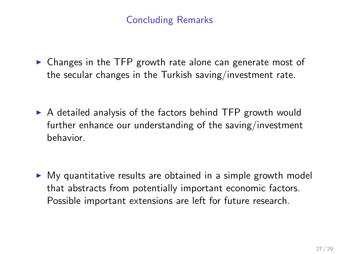## Concluding Remarks

 $\triangleright$  Changes in the TFP growth rate alone can generate most of the secular changes in the Turkish saving/investment rate.

 $\triangleright$  A detailed analysis of the factors behind TFP growth would further enhance our understanding of the saving/investment behavior.

 $\triangleright$  My quantitative results are obtained in a simple growth model that abstracts from potentially important economic factors. Possible important extensions are left for future research.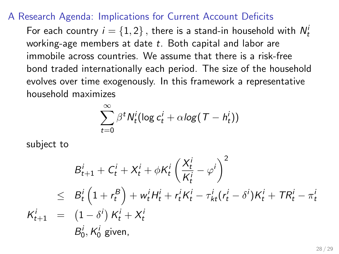#### A Research Agenda: Implications for Current Account Deficits

For each country  $i=\{1,2\}$  , there is a stand-in household with  $N_t^i$ working-age members at date  $t$ . Both capital and labor are immobile across countries. We assume that there is a risk-free bond traded internationally each period. The size of the household evolves over time exogenously. In this framework a representative household maximizes

$$
\sum_{t=0}^{\infty} \beta^t N_t^i (\log c_t^i + \alpha \log (T - h_t^i))
$$

subject to

$$
B_{t+1}^i + C_t^i + X_t^i + \phi K_t^i \left(\frac{X_t^i}{K_t^i} - \varphi^i\right)^2
$$
  
\n
$$
\leq B_t^i \left(1 + r_t^B\right) + w_t^i H_t^i + r_t^i K_t^i - \tau_{kt}^i (r_t^i - \delta^i) K_t^i + TR_t^i - \pi_t^i
$$
  
\n
$$
K_{t+1}^i = (1 - \delta^i) K_t^i + X_t^i
$$
  
\n
$$
B_0^i, K_0^i \text{ given,}
$$